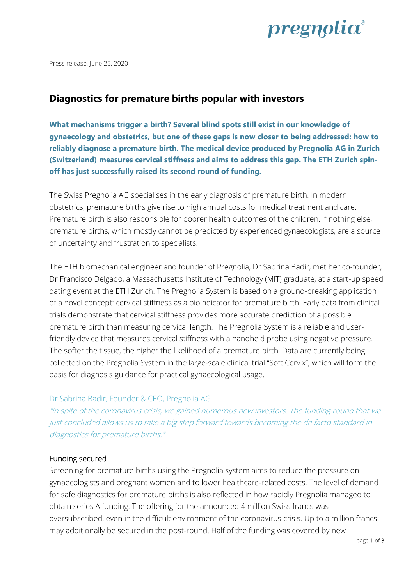

Press release, June 25, 2020

# **Diagnostics for premature births popular with investors**

**What mechanisms trigger a birth? Several blind spots still exist in our knowledge of gynaecology and obstetrics, but one of these gaps is now closer to being addressed: how to reliably diagnose a premature birth. The medical device produced by Pregnolia AG in Zurich (Switzerland) measures cervical stiffness and aims to address this gap. The ETH Zurich spinoff has just successfully raised its second round of funding.** 

The Swiss Pregnolia AG specialises in the early diagnosis of premature birth. In modern obstetrics, premature births give rise to high annual costs for medical treatment and care. Premature birth is also responsible for poorer health outcomes of the children. If nothing else, premature births, which mostly cannot be predicted by experienced gynaecologists, are a source of uncertainty and frustration to specialists.

The ETH biomechanical engineer and founder of Pregnolia, Dr Sabrina Badir, met her co-founder, Dr Francisco Delgado, a Massachusetts Institute of Technology (MIT) graduate, at a start-up speed dating event at the ETH Zurich. The Pregnolia System is based on a ground-breaking application of a novel concept: cervical stiffness as a bioindicator for premature birth. Early data from clinical trials demonstrate that cervical stiffness provides more accurate prediction of a possible premature birth than measuring cervical length. The Pregnolia System is a reliable and userfriendly device that measures cervical stiffness with a handheld probe using negative pressure. The softer the tissue, the higher the likelihood of a premature birth. Data are currently being collected on the Pregnolia System in the large-scale clinical trial "Soft Cervix", which will form the basis for diagnosis guidance for practical gynaecological usage.

## Dr Sabrina Badir, Founder & CEO, Pregnolia AG

"In spite of the coronavirus crisis, we gained numerous new investors. The funding round that we just concluded allows us to take a big step forward towards becoming the de facto standard in diagnostics for premature births."

## Funding secured

Screening for premature births using the Pregnolia system aims to reduce the pressure on gynaecologists and pregnant women and to lower healthcare-related costs. The level of demand for safe diagnostics for premature births is also reflected in how rapidly Pregnolia managed to obtain series A funding. The offering for the announced 4 million Swiss francs was oversubscribed, even in the difficult environment of the coronavirus crisis. Up to a million francs may additionally be secured in the post-round. Half of the funding was covered by new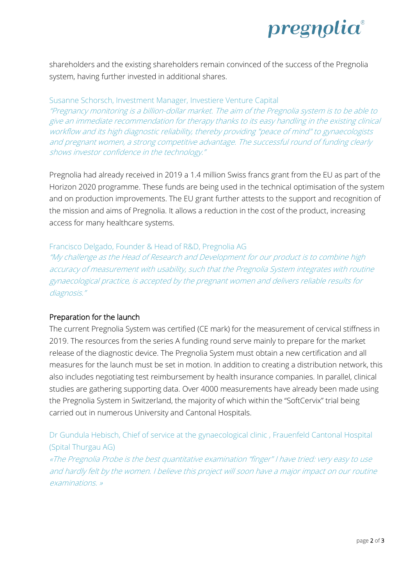

shareholders and the existing shareholders remain convinced of the success of the Pregnolia system, having further invested in additional shares.

Susanne Schorsch, Investment Manager, Investiere Venture Capital "Pregnancy monitoring is a billion-dollar market. The aim of the Pregnolia system is to be able to give an immediate recommendation for therapy thanks to its easy handling in the existing clinical workflow and its high diagnostic reliability, thereby providing "peace of mind" to gynaecologists and pregnant women, a strong competitive advantage. The successful round of funding clearly shows investor confidence in the technology."

Pregnolia had already received in 2019 a 1.4 million Swiss francs grant from the EU as part of the Horizon 2020 programme. These funds are being used in the technical optimisation of the system and on production improvements. The EU grant further attests to the support and recognition of the mission and aims of Pregnolia. It allows a reduction in the cost of the product, increasing access for many healthcare systems.

#### Francisco Delgado, Founder & Head of R&D, Pregnolia AG

"My challenge as the Head of Research and Development for our product is to combine high accuracy of measurement with usability, such that the Pregnolia System integrates with routine gynaecological practice, is accepted by the pregnant women and delivers reliable results for diagnosis."

## Preparation for the launch

The current Pregnolia System was certified (CE mark) for the measurement of cervical stiffness in 2019. The resources from the series A funding round serve mainly to prepare for the market release of the diagnostic device. The Pregnolia System must obtain a new certification and all measures for the launch must be set in motion. In addition to creating a distribution network, this also includes negotiating test reimbursement by health insurance companies. In parallel, clinical studies are gathering supporting data. Over 4000 measurements have already been made using the Pregnolia System in Switzerland, the majority of which within the "SoftCervix" trial being carried out in numerous University and Cantonal Hospitals.

Dr Gundula Hebisch, Chief of service at the gynaecological clinic , Frauenfeld Cantonal Hospital (Spital Thurgau AG)

«The Pregnolia Probe is the best quantitative examination "finger" I have tried: very easy to use and hardly felt by the women. I believe this project will soon have a major impact on our routine examinations. »